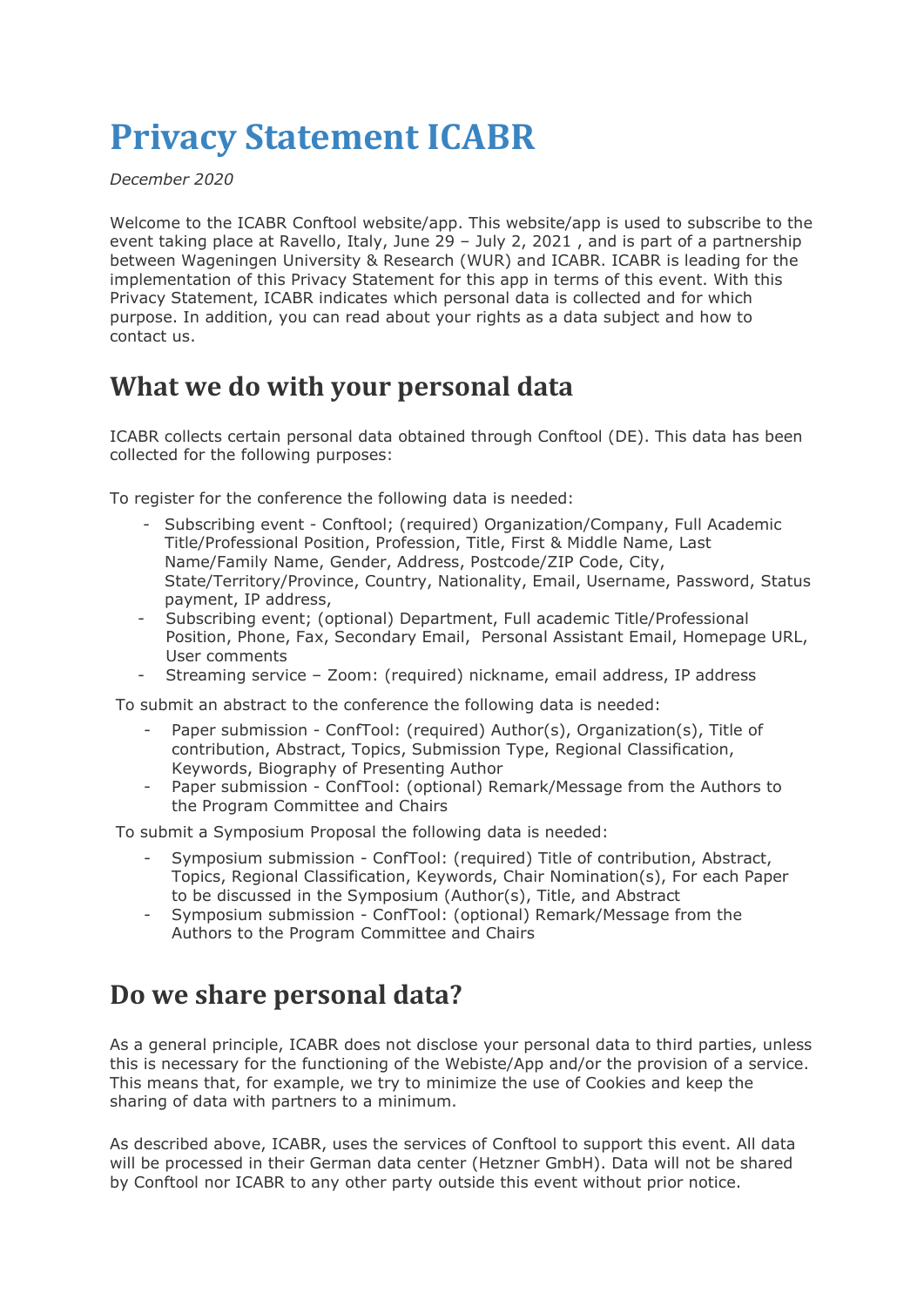# **Privacy Statement ICABR**

*December 2020*

Welcome to the ICABR Conftool website/app. This website/app is used to subscribe to the event taking place at Ravello, Italy, June 29 – July 2, 2021 , and is part of a partnership between Wageningen University & Research (WUR) and ICABR. ICABR is leading for the implementation of this Privacy Statement for this app in terms of this event. With this Privacy Statement, ICABR indicates which personal data is collected and for which purpose. In addition, you can read about your rights as a data subject and how to contact us.

### **What we do with your personal data**

ICABR collects certain personal data obtained through Conftool (DE). This data has been collected for the following purposes:

To register for the conference the following data is needed:

- Subscribing event Conftool; (required) Organization/Company, Full Academic Title/Professional Position, Profession, Title, First & Middle Name, Last Name/Family Name, Gender, Address, Postcode/ZIP Code, City, State/Territory/Province, Country, Nationality, Email, Username, Password, Status payment, IP address,
- Subscribing event; (optional) Department, Full academic Title/Professional Position, Phone, Fax, Secondary Email, Personal Assistant Email, Homepage URL, User comments
- Streaming service Zoom: (required) nickname, email address, IP address

To submit an abstract to the conference the following data is needed:

- Paper submission ConfTool: (required) Author(s), Organization(s), Title of contribution, Abstract, Topics, Submission Type, Regional Classification, Keywords, Biography of Presenting Author
- Paper submission ConfTool: (optional) Remark/Message from the Authors to the Program Committee and Chairs

To submit a Symposium Proposal the following data is needed:

- Symposium submission ConfTool: (required) Title of contribution, Abstract, Topics, Regional Classification, Keywords, Chair Nomination(s), For each Paper to be discussed in the Symposium (Author(s), Title, and Abstract
- Symposium submission ConfTool: (optional) Remark/Message from the Authors to the Program Committee and Chairs

#### **Do we share personal data?**

As a general principle, ICABR does not disclose your personal data to third parties, unless this is necessary for the functioning of the Webiste/App and/or the provision of a service. This means that, for example, we try to minimize the use of Cookies and keep the sharing of data with partners to a minimum.

As described above, ICABR, uses the services of Conftool to support this event. All data will be processed in their German data center (Hetzner GmbH). Data will not be shared by Conftool nor ICABR to any other party outside this event without prior notice.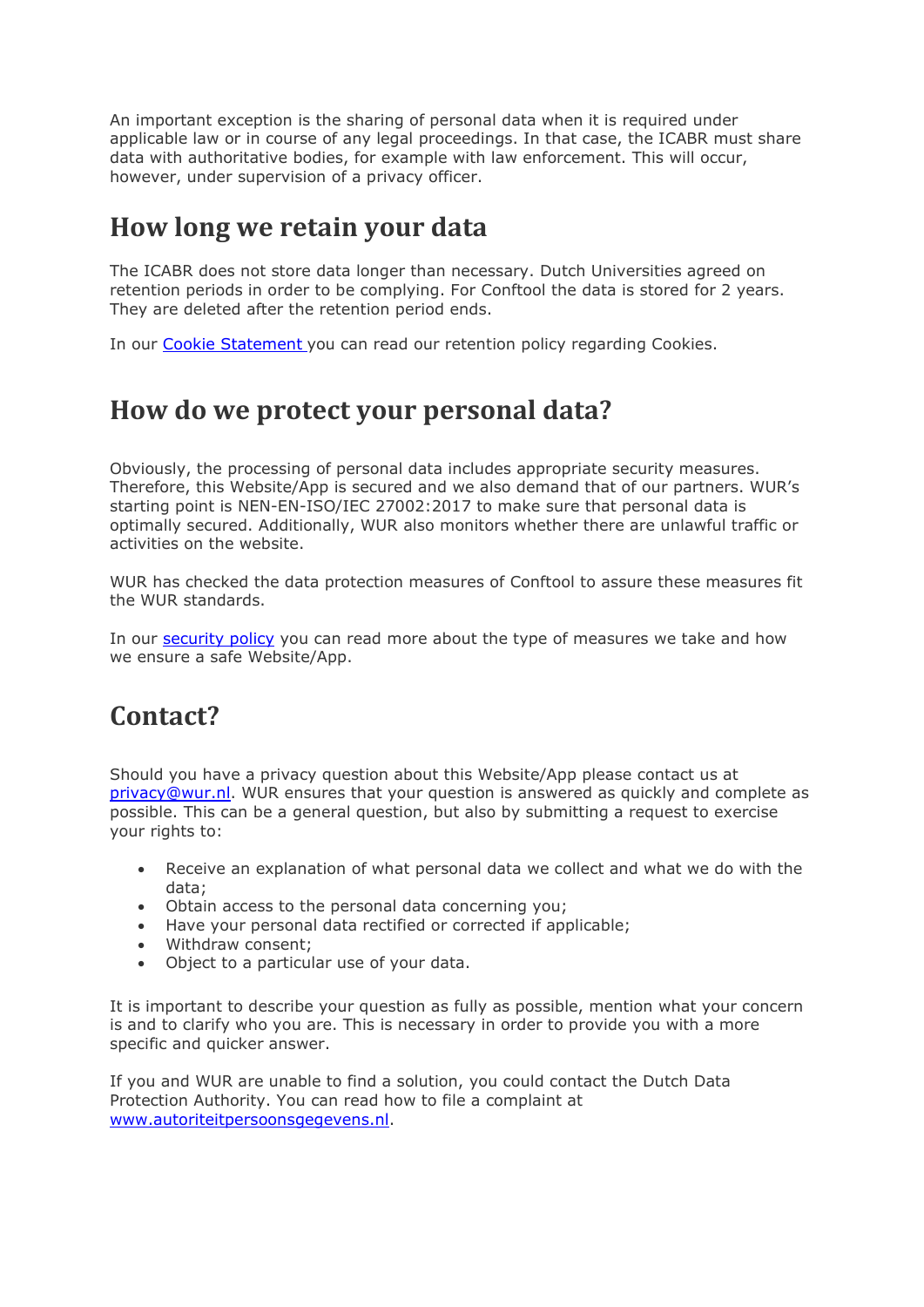An important exception is the sharing of personal data when it is required under applicable law or in course of any legal proceedings. In that case, the ICABR must share data with authoritative bodies, for example with law enforcement. This will occur, however, under supervision of a privacy officer.

#### **How long we retain your data**

The ICABR does not store data longer than necessary. Dutch Universities agreed on retention periods in order to be complying. For Conftool the data is stored for 2 years. They are deleted after the retention period ends.

In our [Cookie Statement](https://www.wur.nl/nl/Privacy-Cookie-verklaring/Cookies.htm) you can read our retention policy regarding Cookies.

#### **How do we protect your personal data?**

Obviously, the processing of personal data includes appropriate security measures. Therefore, this Website/App is secured and we also demand that of our partners. WUR's starting point is NEN-EN-ISO/IEC 27002:2017 to make sure that personal data is optimally secured. Additionally, WUR also monitors whether there are unlawful traffic or activities on the website.

WUR has checked the data protection measures of Conftool to assure these measures fit the WUR standards.

In our [security policy](https://www.wur.nl/nl/Waardecreatie-Samenwerking/Informatiebeveiliging.htm) you can read more about the type of measures we take and how we ensure a safe Website/App.

# **Contact?**

Should you have a privacy question about this Website/App please contact us at [privacy@wur.nl.](mailto:Functionarisgegevensbescherming@wur.nl) WUR ensures that your question is answered as quickly and complete as possible. This can be a general question, but also by submitting a request to exercise your rights to:

- Receive an explanation of what personal data we collect and what we do with the data;
- Obtain access to the personal data concerning you;
- Have your personal data rectified or corrected if applicable;
- Withdraw consent;
- Object to a particular use of your data.

It is important to describe your question as fully as possible, mention what your concern is and to clarify who you are. This is necessary in order to provide you with a more specific and quicker answer.

If you and WUR are unable to find a solution, you could contact the Dutch Data Protection Authority. You can read how to file a complaint at [www.autoriteitpersoonsgegevens.nl.](http://www.autoriteitpersoonsgegevens.nl/)